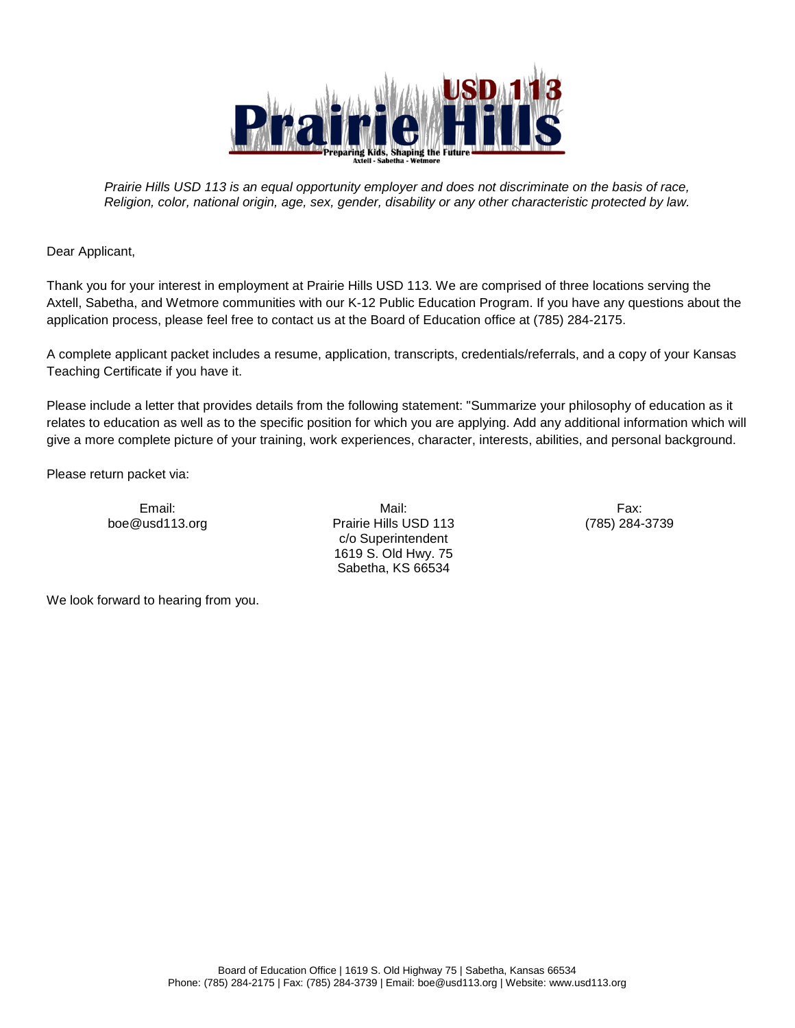

*Prairie Hills USD 113 is an equal opportunity employer and does not discriminate on the basis of race, Religion, color, national origin, age, sex, gender, disability or any other characteristic protected by law.*

Dear Applicant,

Thank you for your interest in employment at Prairie Hills USD 113. We are comprised of three locations serving the Axtell, Sabetha, and Wetmore communities with our K-12 Public Education Program. If you have any questions about the application process, please feel free to contact us at the Board of Education office at (785) 284-2175.

A complete applicant packet includes a resume, application, transcripts, credentials/referrals, and a copy of your Kansas Teaching Certificate if you have it.

Please include a letter that provides details from the following statement: "Summarize your philosophy of education as it relates to education as well as to the specific position for which you are applying. Add any additional information which will give a more complete picture of your training, work experiences, character, interests, abilities, and personal background.

Please return packet via:

Email: Mail: Fax: boe@usd113.org Prairie Hills USD 113 c/o Superintendent 1619 S. Old Hwy. 75 Sabetha, KS 66534

(785) 284-3739

We look forward to hearing from you.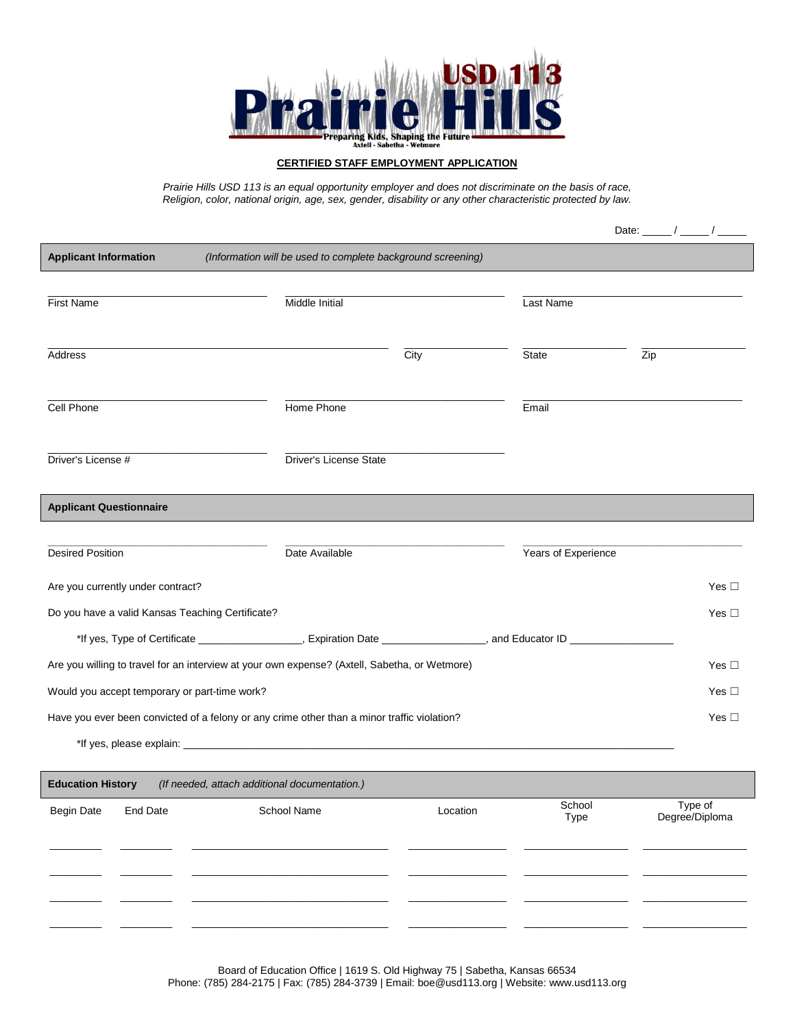

## **CERTIFIED STAFF EMPLOYMENT APPLICATION**

*Prairie Hills USD 113 is an equal opportunity employer and does not discriminate on the basis of race, Religion, color, national origin, age, sex, gender, disability or any other characteristic protected by law.*

|                                                                                                                      |                        |          |                     | Date: $\frac{1}{\sqrt{2\pi}}$ |  |  |  |
|----------------------------------------------------------------------------------------------------------------------|------------------------|----------|---------------------|-------------------------------|--|--|--|
| <b>Applicant Information</b><br>(Information will be used to complete background screening)                          |                        |          |                     |                               |  |  |  |
| <b>First Name</b>                                                                                                    | Middle Initial         |          | Last Name           |                               |  |  |  |
| Address                                                                                                              |                        | City     | State               | Zip                           |  |  |  |
| Cell Phone                                                                                                           | Home Phone             |          | Email               |                               |  |  |  |
| Driver's License #                                                                                                   | Driver's License State |          |                     |                               |  |  |  |
| <b>Applicant Questionnaire</b>                                                                                       |                        |          |                     |                               |  |  |  |
|                                                                                                                      |                        |          |                     |                               |  |  |  |
| <b>Desired Position</b>                                                                                              | Date Available         |          | Years of Experience |                               |  |  |  |
| Are you currently under contract?                                                                                    |                        |          |                     | Yes $\square$                 |  |  |  |
| Do you have a valid Kansas Teaching Certificate?                                                                     |                        |          |                     | Yes $\square$                 |  |  |  |
| *If yes, Type of Certificate ___________________, Expiration Date _______________, and Educator ID _________________ |                        |          |                     |                               |  |  |  |
| Yes $\square$<br>Are you willing to travel for an interview at your own expense? (Axtell, Sabetha, or Wetmore)       |                        |          |                     |                               |  |  |  |
| Would you accept temporary or part-time work?<br>Yes $\square$                                                       |                        |          |                     |                               |  |  |  |
| Have you ever been convicted of a felony or any crime other than a minor traffic violation?<br>Yes $\Box$            |                        |          |                     |                               |  |  |  |
|                                                                                                                      |                        |          |                     |                               |  |  |  |
| <b>Education History</b><br>(If needed, attach additional documentation.)                                            |                        |          |                     |                               |  |  |  |
| <b>Begin Date</b><br>End Date                                                                                        | School Name            | Location | School<br>Type      | Type of<br>Degree/Diploma     |  |  |  |
|                                                                                                                      |                        |          |                     |                               |  |  |  |
|                                                                                                                      |                        |          |                     |                               |  |  |  |
|                                                                                                                      |                        |          |                     |                               |  |  |  |
|                                                                                                                      |                        |          |                     |                               |  |  |  |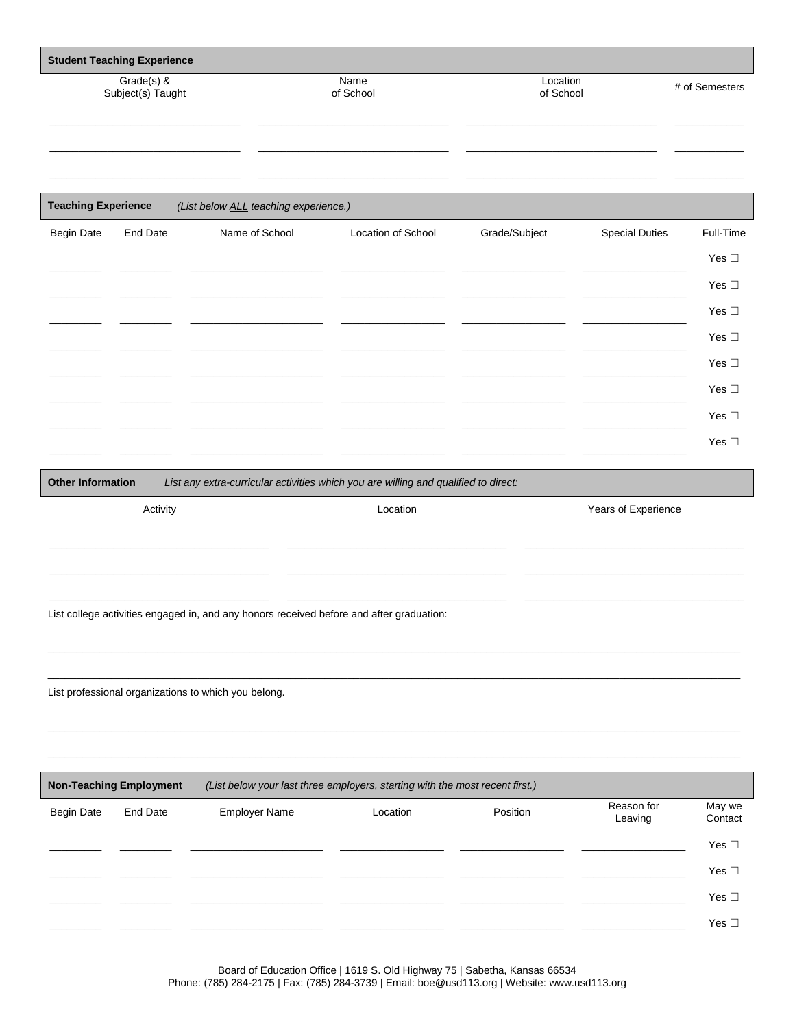| <b>Student Teaching Experience</b> |                                |                                                                                          |                                                                                     |               |                       |                   |  |  |
|------------------------------------|--------------------------------|------------------------------------------------------------------------------------------|-------------------------------------------------------------------------------------|---------------|-----------------------|-------------------|--|--|
| Grade(s) &<br>Subject(s) Taught    |                                |                                                                                          | Name<br>of School                                                                   |               | Location<br>of School |                   |  |  |
|                                    |                                |                                                                                          |                                                                                     |               |                       |                   |  |  |
| <b>Teaching Experience</b>         |                                | (List below ALL teaching experience.)                                                    |                                                                                     |               |                       |                   |  |  |
| <b>Begin Date</b>                  | <b>End Date</b>                | Name of School                                                                           | Location of School                                                                  | Grade/Subject | <b>Special Duties</b> | Full-Time         |  |  |
|                                    |                                |                                                                                          |                                                                                     |               |                       | Yes $\square$     |  |  |
|                                    |                                |                                                                                          |                                                                                     |               |                       | Yes $\square$     |  |  |
|                                    |                                |                                                                                          |                                                                                     |               |                       | Yes $\square$     |  |  |
|                                    |                                |                                                                                          |                                                                                     |               |                       | Yes $\square$     |  |  |
|                                    |                                |                                                                                          |                                                                                     |               |                       | Yes $\square$     |  |  |
|                                    |                                |                                                                                          |                                                                                     |               |                       | Yes $\square$     |  |  |
|                                    |                                |                                                                                          |                                                                                     |               |                       | Yes $\square$     |  |  |
|                                    |                                |                                                                                          |                                                                                     |               |                       | Yes $\square$     |  |  |
| <b>Other Information</b>           |                                |                                                                                          | List any extra-curricular activities which you are willing and qualified to direct: |               |                       |                   |  |  |
|                                    | Activity                       |                                                                                          | Location                                                                            |               | Years of Experience   |                   |  |  |
|                                    |                                |                                                                                          |                                                                                     |               |                       |                   |  |  |
|                                    |                                |                                                                                          |                                                                                     |               |                       |                   |  |  |
|                                    |                                |                                                                                          |                                                                                     |               |                       |                   |  |  |
|                                    |                                | List college activities engaged in, and any honors received before and after graduation: |                                                                                     |               |                       |                   |  |  |
|                                    |                                |                                                                                          |                                                                                     |               |                       |                   |  |  |
|                                    |                                |                                                                                          |                                                                                     |               |                       |                   |  |  |
|                                    |                                | List professional organizations to which you belong.                                     |                                                                                     |               |                       |                   |  |  |
|                                    |                                |                                                                                          |                                                                                     |               |                       |                   |  |  |
|                                    |                                |                                                                                          |                                                                                     |               |                       |                   |  |  |
|                                    |                                |                                                                                          |                                                                                     |               |                       |                   |  |  |
|                                    | <b>Non-Teaching Employment</b> |                                                                                          | (List below your last three employers, starting with the most recent first.)        |               |                       |                   |  |  |
| <b>Begin Date</b>                  | <b>End Date</b>                | <b>Employer Name</b>                                                                     | Location                                                                            | Position      | Reason for<br>Leaving | May we<br>Contact |  |  |
|                                    |                                |                                                                                          |                                                                                     |               |                       | Yes $\square$     |  |  |
|                                    |                                |                                                                                          |                                                                                     |               |                       | Yes $\square$     |  |  |
|                                    |                                |                                                                                          |                                                                                     |               |                       | Yes $\square$     |  |  |

Board of Education Office | 1619 S. Old Highway 75 | Sabetha, Kansas 66534<br>Phone: (785) 284-2175 | Fax: (785) 284-3739 | Email: boe@usd113.org | Website: www.usd113.org

Yes  $\square$